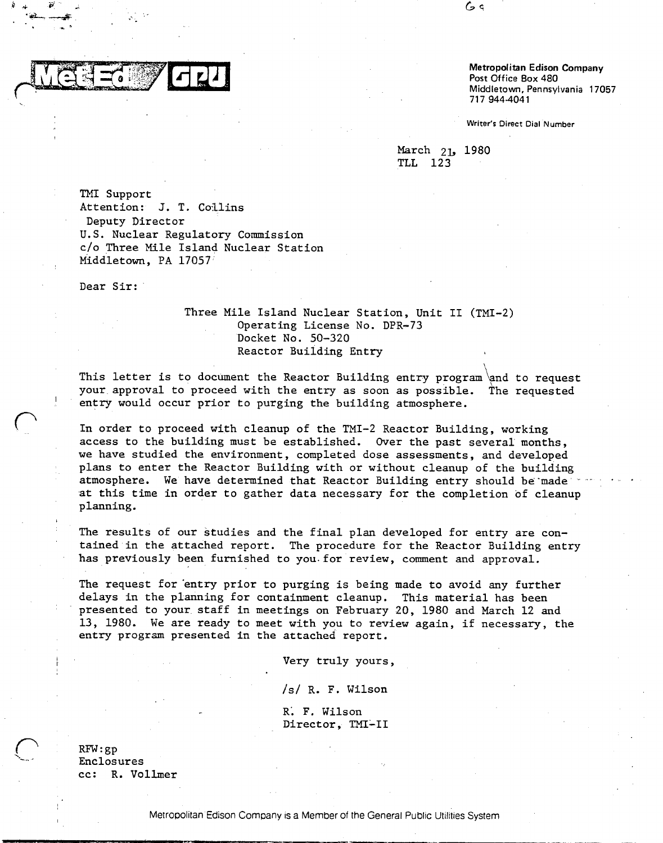

*~ ~ .iI! --*

"~,~-- .'

Metropolitan Edison Company Post Office Box 480 Middletown, Pennsylvania 17057 717 944-4041

Writer's Direct Dial Number

 $\overline{\phantom{a}}$ 

March 21, 1980 TLL 123

らく

TMI Support Attention: J. T. Collins Deputy Director U.S. Nuclear Regulatory Commission c/o Three Mile Island Nuclear Station Middletown, PA 17057

Dear Sir:

Three Mile Island Nuclear Station, Unit II (TMI-2) Operating License No. DPR-73 Docket No. 50-320 Reactor Building Entry

This letter is to document the Reactor Building entry program and to request your approval to proceed with the entry as soon as possible. The requested entry would occur prior to purging the building atmosphere.

In order to proceed with cleanup of the TMI-2 Reactor Building, working access to the building must be established. Over the past several months, we have studied the environment, completed dose assessments, and developed plans to enter the Reactor Building with or without cleanup of the building atmosphere. We have determined that Reactor Building entry should be made at this time in order to gather data necessary for the completion of cleanup planning.

The results of our studies and the final plan developed for entry are contained in the attached report. The procedure for the Reactor Building entry has previously been furnished to you. for review, comment and approval.

The request for entry prior to purging is being made to avoid any further delays in the planning for containment cleanup. This material has been presented to your staff in meetings on February 20, 1980 and March 12 and 13, 1980. We are ready to meet with you to review again, if necessary, the entry program presented in the attached report.

Very truly yours,

/s/ R. F. Wilson

R. F. Wilson Director, TMI-II

RFW:gp Enclosures cc: R. Vollmer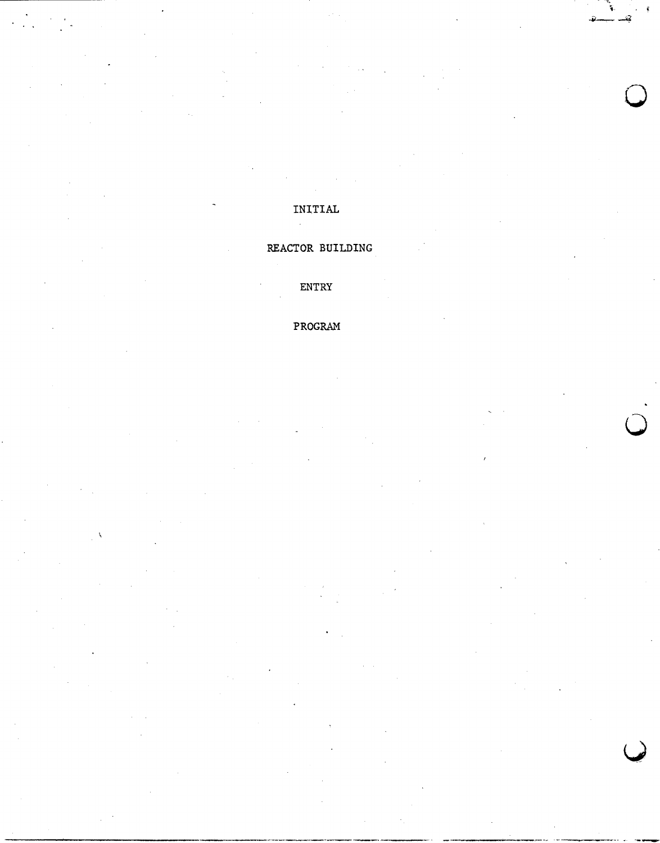# INITIAL

## REACTOR BUILDING

## ENTRY

## ${\tt PROGRAM}$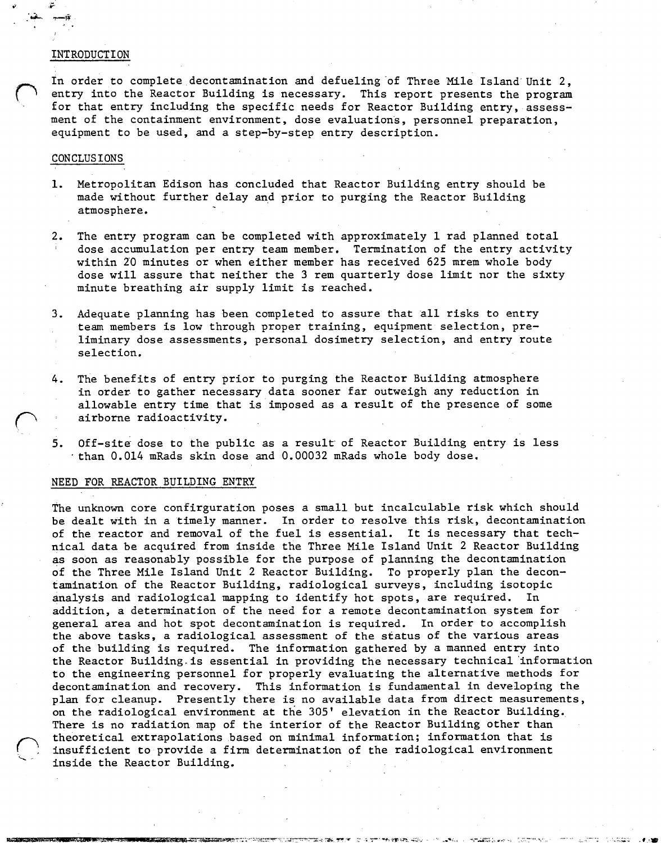### INTRODUCTION

In order to complete decontamination and defueling of Three Mile Island Unit 2, entry into the Reactor Building is necessary. This report presents the program for that entry including the specific needs for Reactor Building entry, assessment of the containment environment, dose evaluations, personnel preparation, equipment to be used, and a step-by-step entry description.

### **CONCLUSIONS**

- 1. Metropolitan Edison has concluded that Reactor Building entry should be made without further delay and prior to purging the Reactor Building atmosphere.
- 2. The entry program can be completed with approximately 1 rad planned total dose accumulation per entry team member. Termination of the entry activity within 20 minutes or when either member has received 625 mrem whole body dose will assure that neither the 3 rem quarterly dose limit nor the sixty minute breathing air supply limit is reached.
- 3. Adequate planning has been completed to assure that all risks to entry team members is low through proper training, equipment selection, preliminary dose assessments, personal dosimetry selection, and entry route selection.
- 4. the benefits of entry prior to purging the Reactor Building atmosphere in order. to gather necessary data sooner far outweigh any reduction in allowable entry time that is imposed as a result of the presence of some airborne radioactivity.
- 5. Off-site dose to the public as a result of Reactor Building entry is less .than 0.014 mRads skin dose and 0.00032 mRads whole body dose.

#### NEED FOR REACTOR BVILDING ENtRY

the unknown core confirguration poses a small but incalculable risk which should be dealt with in a timely manner. In order to resolve this risk, decontamination of the reactor and removal of the fuel is essential. It is necessary that technical data be acquired from inside the Three Mile Island Unit 2 Reactor Building as soon as reasonably possible for the purpose of planning the decontamination of the Three Mile Island Unit 2 Reactor Building. To properly plan the decontamination of the Reactor Building, radiological surveys, including isotopic analysis and radiological mapping to identify hot spots, are required. In addition, a determination of the need for a remote decontamination system for general area and hot spot decontamination is required. In order to accomplish the above tasks, a radiological assessment of the status of the various areas of the building is required. The information gathered by a manned entry into the Reactor Building.is essential in providing the necessary technical 'information to the engineering personnel for properly evaluating the alternative methods for decontamination and recovery. This information is fundamental in developing the plan for cleanup. Presently there is no available data from direct measurements, on the radiological environment at the 305' elevation in the Reactor Building. There is no radiation map of the interior of the Reactor Building other than theoretical extrapolations based on minimal information; information that is insufficient to provide a firm determination of the radiological environment inside the Reactor Building.

.f,.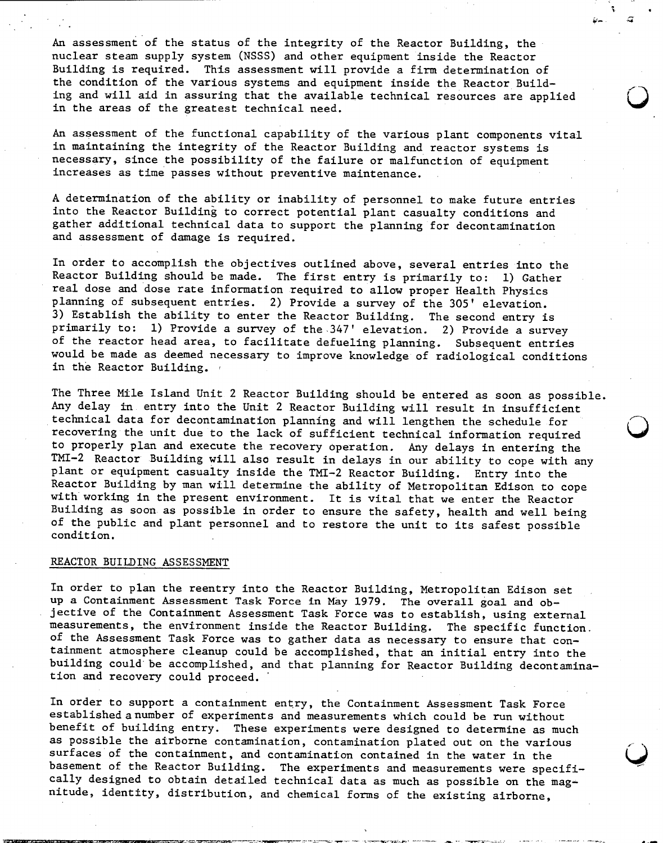An assessment of the status of the integrity of the Reactor Building, the nuclear steam supply system (NSSS) and other equipment inside the Reactor Building is required. This assessment will provide a firm determination of the condition of the various systems and equipment inside the Reactor Building and will aid in assuring that the available technical resources are applied in the areas of the greatest technical need.

An assessment of the functional capability of the various plant components vital in maintaining the integrity of the Reactor Building and reactor systems is necessary, since the possibility of the failure or malfunction of equipment increases as time passes without preventive maintenance.

A determination of the ability or inability of personnel to make future entries into the Reactor Building to correct potential plant casualty conditions and gather additional technical data to support the planning for decontamination and assessment of damage is required.

In order to accomplish the objectives outlined above, several entries into the Reactor Building should be made. The first entry is primarily to: 1) Gather real dose and dose rate information required to allow proper Health Physics planning of subsequent entries. 2) Provide a survey of the 305' elevation. 3) Establish the ability to enter the Reactor Building. The second entry is primarily to: 1) Provide a survey of the-347' elevation. 2) Provide a survey of the reactor head area, to facilitate defueling planning. Subsequent entries would be made as deemed necessary to improve knowledge of radiological conditions in the Reactor Building.

The Three Mile Island Unit 2 Reactor Building should be entered as soon as possible.<br>Any delay in entry into the Unit 2 Reactor Building will result in insufficient<br>technical data for decontamination planning and will leng Any delay in entry into the Unit 2 Reactor Building will result in insufficient technical data for decontamination planning and will lengthen the schedule for recovering the unit due to the lack of sufficient technical information required to properly plan and execute the recovery operation. Any delays in entering the TMI-2 Reactor Building will also result in delays in our ability to cope with any plant or equipment casualty inside the TMI-2 Reactor Building. Entry into the Reactor Building by man will determine the ability of Metropolitan Edison to cope with working in the present environment. It is vital that we enter the Reactor Building as soon as possible in order to ensure the safety, health and well being of the public and plant personnel and to restore the unit to its safest possible condition.

#### REACTOR BUILDING ASSESSMENT

In order to plan the reentry into the Reactor Building, Metropolitan Edison set up a Containment Assessment Task Force in May 1979. The overall goal and objective of the Containment Assessment Task Force was to establish, using external measurements, the environment inside the Reactor Building. The specific function. of the Assessment Task Force was to gather data as necessary to ensure that containment atmosphere cleanup could be accomplished, that an initial entry into the building could be accomplished, and that planning for Reactor Building decontamination and recovery could proceed.

In order to support a containment entry, the Containment Assessment Task Force established a number of experiments and measurements which could be run without benefit of building entry. These experiments were designed to determine as much as possible the airborne contamination, contamination plated out on the various surfaces of the containment, and contamination contained in the water in the basement of the Reactor Building. The experiments and measurements were specifically designed to obtain detailed technical data as much as possible on the magnitude, identity, distribution, and chemical forms of the existing airborne,

<u>ل</u> """'.: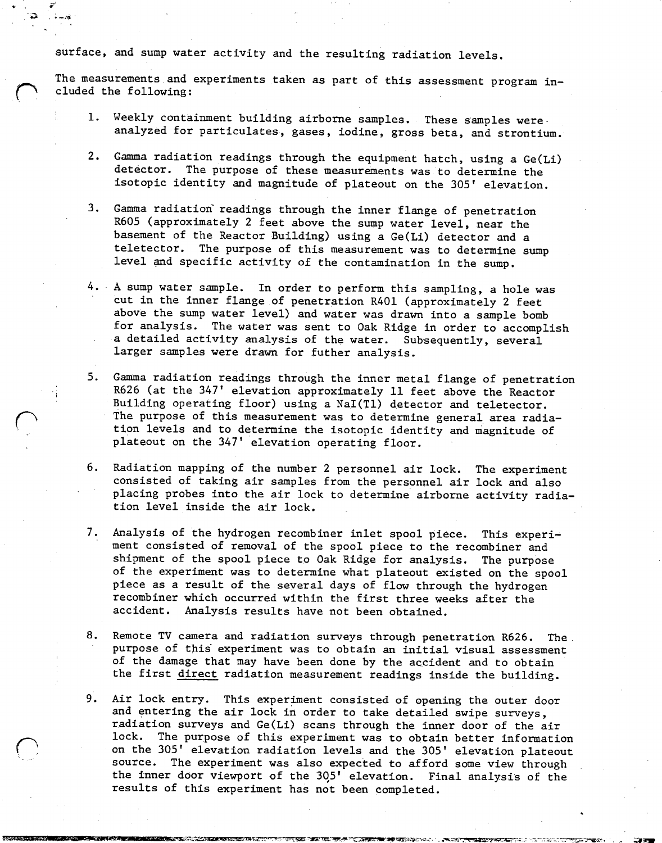surface, and sump water activity and the resulting radiation levels.

*.;), ""-i~"*

The measurements and experiments taken as part of this assessment program included the following:

- 1. Weekly containment building airborne samples. These samples were. analyzed for particulates, gases, iodine, gross beta, and strontium.
- 2. Gamma radiation readings through the equipment hatch, using a Ge(Li) detector. The purpose of these measurements was to determine the isotopic identity and magnitude of plateout on the 305' elevation.
- 3. Gamma radiation readings through the inner flange of penetration R605 (approximately 2 feet above the sump water level, near the basement of the Reactor Building) using a Ge(Li) detector and a teletector. The purpose of this measurement was to determine sump level and specific activity of the contamination in the sump.
- 4. A sump water sample. In order to perform this sampling, a hole was cut in the inner flange of penetration R40l (approximately 2 feet above the sump water level) and water was drawn into a sample bomb for analysis. The water was sent to Oak Ridge in order to accomplish a detailed activity analysis of the water. Subsequently, several larger samples were drawn for futher analysis.
- 5. Gamma radiation readings through the inner metal flange of penetration R626 (at the 347' elevation approximately 11 feet above the Reactor Building operating floor) using a NaI(Tl) detector and teletector. The purpose of this measurement was to determine general area radiation levels and to determine the isotopic identity and magnitude of plateout on the 347' elevation operating floor.
- 6. Radiation mapping of the number 2 personnel air lock. The experiment consisted of taking air samples from the personnel air lock and also placing probes into the air lock to determine airborne activity radiation level inside the air lock.
- 7. Analysis of the hydrogen recombiner inlet spool piece. This experiment consisted of removal of the spool piece to the recombiner and shipment of the spool piece to Oak Ridge for analysis. The purpose of the experiment was to determine what plateout existed on the spool piece as a result of the several days of flow through the hydrogen recombiner which occurred within the first three weeks after the accident. Analysis results have not been obtained.
- 8. Remote TV camera and radiation surveys through penetration R626. The purpose of this'experiment was to obtain an initial visual assessment of the damage that may have been done by the accident and to obtain the first direct radiation measurement readings inside the building.
- 9. Air lock entry. This experiment consisted of opening the outer door and entering the air lock in order to take detailed swipe surveys, radiation surveys and Ge(Li) scans through the inner door of the air lock. The purpose of this experiment was to obtain better information on the 305' elevation radiation levels and the 305' elevation plateout source. The experiment was also expected to afford some view through the inner door viewport of the 305' elevation. Final analysis of the results of this experiment has not been completed.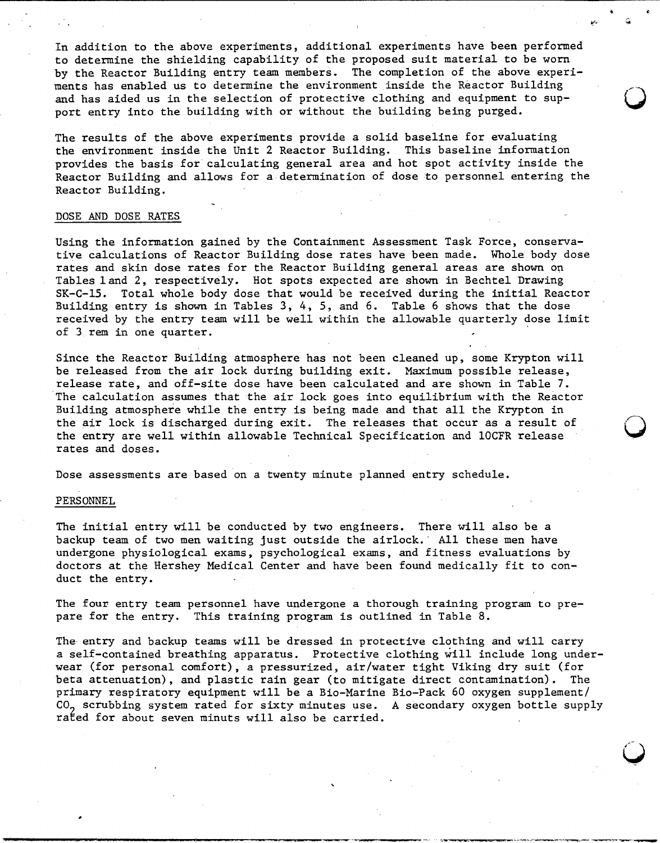In addition to the above experiments, additional experiments have been performed to determine the shielding capability of the proposed suit material to be worn by the Reactor Building entry team members. The completion of the above experiments has enabled us to determine the environment inside the Reactor Building and has aided us in the selection of protective clothing and equipment to support entry into the building with or without the building being purged.

The results of the above experiments provide a solid baseline for evaluating the environment inside the Unit 2 Reactor Building. This baseline information provides the basis for calculating general area and hot spot activity inside the Reactor Building and allows for a determination of dose to personnel entering the Reactor Building.

#### DOSE AND DOSE RATES

Using the information gained by the Containment Assessment Task Force, conservative calculations of Reactor Building dose rates have been made. Whole body dose rates and skin dose rates for the Reactor Building general areas are shown on Tables land 2, respectively. Hot spots expected are shown in Bechtel Drawing SK-C-15. Total whole body dose that would be received during the initial Reactor Building entry is shown in Tables 3, 4, 5, and 6. Table 6 shows that the dose received by the entry team will be well within the allowable quarterly dose limit of 3 rem in one quarter.

Since the Reactor Building atmosphere has not been cleaned up, some Krypton will be released from the air lock during building exit. Maximum possible release, release rate, and off-site dose have been calculated and are shown in Table 7 • .The calculation assumes that the air lock goes into equilibrium with the Reactor Building atmosphere while the entry is being made and that all the Krypton in The calculation assumes that the air lock goes into equilibrium with the Reactor<br>Building atmosphere while the entry is being made and that all the Krypton in<br>the air lock is discharged during exit. The releases that occur the entry are well within allowable Technical Specification and IOCFR release rates and doses.

Dose assessments are based on a twenty minute planned entry schedule.

#### PERSONNEL

The initial entry will be conducted by two engineers. There will also be a backup team of two men waiting just outside the airlock. All these men have undergone physiological exams, psychological exams, and fitness evaluations by doctors at the Hershey Medical Center and have been found medically fit to conduct the entry.

The four entry team personnel have undergone a thorough training program to prepare for the entry. This training program is outlined in Table 8.

The entry and backup teams will be dressed in protective clothing and will carry a self-contained breathing apparatus. Protective clothing will include long underwear (for personal comfort), a pressurized, air/water tight Viking dry suit (for beta attenuation), and plastic rain gear (to mitigate direct contamination). The primary respiratory equipment will be a Bio-Marine Bio-Pack 60 oxygen supplement/ CO<sub>2</sub> scrubbing system rated for sixty minutes use. A secondary oxygen bottle supply<br>rated for shout sever minute will also be counted rated for about seven minuts will also be carried.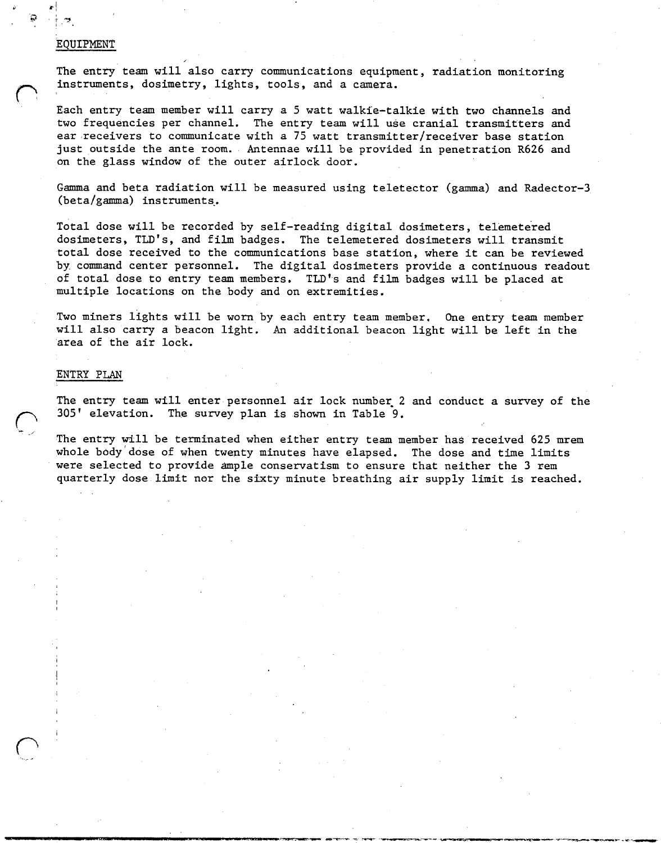#### EQUIPMENT

,.  $P$  .

> The entry team will also carry communications equipment, radiation monitoring instruments, dosimetry, lights, tools, and a camera.

Each entry team member will carry a 5 watt walkie-talkie with two channels and two frequencies per channel. The entry team will use cranial transmitters and ear receivers to communicate with a 75 watt transmitter/receiver base station just outside the ante room. Antennae will be provided in penetration R626 and on the glass window of the outer airlock door.

Gamma and beta radiation will be measured using teletector (gamma) and Radector-3  $(beta/gamma)$  instruments.

Total dose will be recorded by self-reading digital dosimeters, telemetered dosimeters, TLD's, and film badges. The telemetered dosimeters will transmit total dose received to the communications base station, where it can be reviewed by command center personnel. The digital dosimeters provide a continuous readout of total dose to entry team members. TLD's and film badges will be placed at multiple locations on the body and on extremities.

Two miners lights will be worn by each entry team member. One entry team member will also carry a beacon light. An additional beacon light will be left in the area of the air lock.

#### ENTRY PLAN

The entry team will enter personnel air lock number 2 and conduct a survey of the 305' elevation. The survey plan is shown in Table 9.

The entry will be terminated when either entry team member has received 625 mrem whole body'dose of when twenty minutes have elapsed. The dose and time limits were selected to provide ample conservatism to ensure that neither the 3 rem quarterly dose limit nor the sixty minute breathing air supply limit is reached.

------- •••• --------------...- \_\_ ~ .••••• - -~ ....•.. -""'=.,,.,........,..- .~~~,. ~,.....• .....\_\_-.-~~\_~.- .. -.:r.--~~""'- .•..IlII:, .•....\_.\_..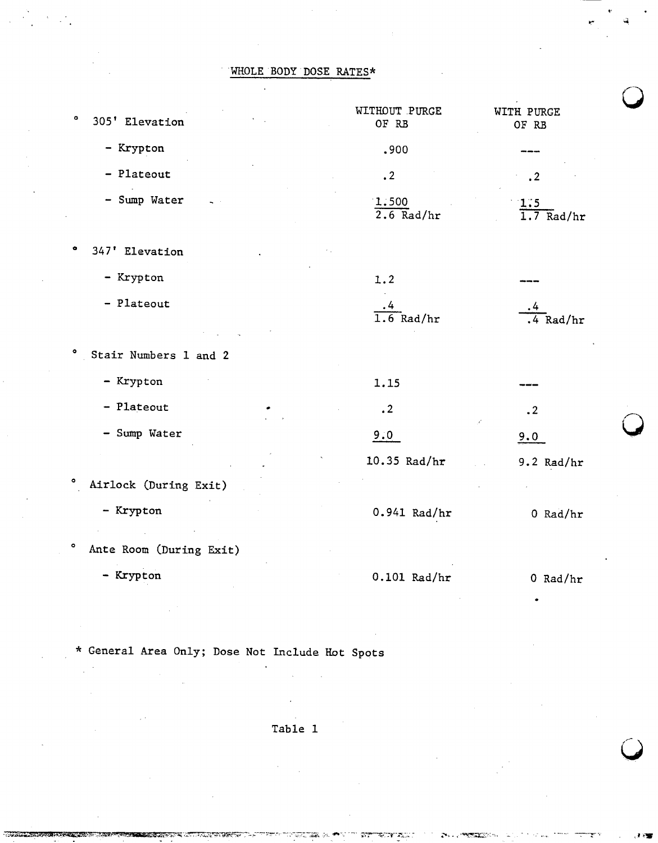WHOLE BODY DOSE RATES\*

 $\mathbb{R}^n$ 

o

|   | 305' Elevation          | WITHOUT PURGE<br>OF RB | WITH PURGE<br>OF RB |
|---|-------------------------|------------------------|---------------------|
|   | - Krypton               | .900                   |                     |
|   | - Plateout              | $\cdot$ 2              | $\cdot$ 2           |
|   | - Sump Water            | 1.500<br>$2.6$ Rad/hr  | 1.5<br>$1.7$ Rad/hr |
|   | 347' Elevation          |                        |                     |
|   | - Krypton               | 1.2                    |                     |
|   | - Plateout              | $1.6$ Rad/hr           | Rad/hr              |
| ۰ | Stair Numbers 1 and 2   |                        |                     |
|   | - Krypton               | 1.15                   |                     |
|   | - Plateout              | $\cdot$ 2              | $\cdot$ 2           |
|   | - Sump Water            | 9.0                    | 9.0                 |
|   |                         | $10.35$ Rad/hr         | $9.2$ Rad/hr        |
| ۰ | Airlock (During Exit)   |                        |                     |
|   | - Krypton               | $0.941$ Rad/hr         | $0$ Rad/hr          |
| ۰ | Ante Room (During Exit) |                        |                     |
|   | - Krypton               | $0.101$ Rad/hr         | $0$ Rad/hr          |

\* General Area Only; Dose Not Include Hot Spots

 $\sim 10$ 

Table 1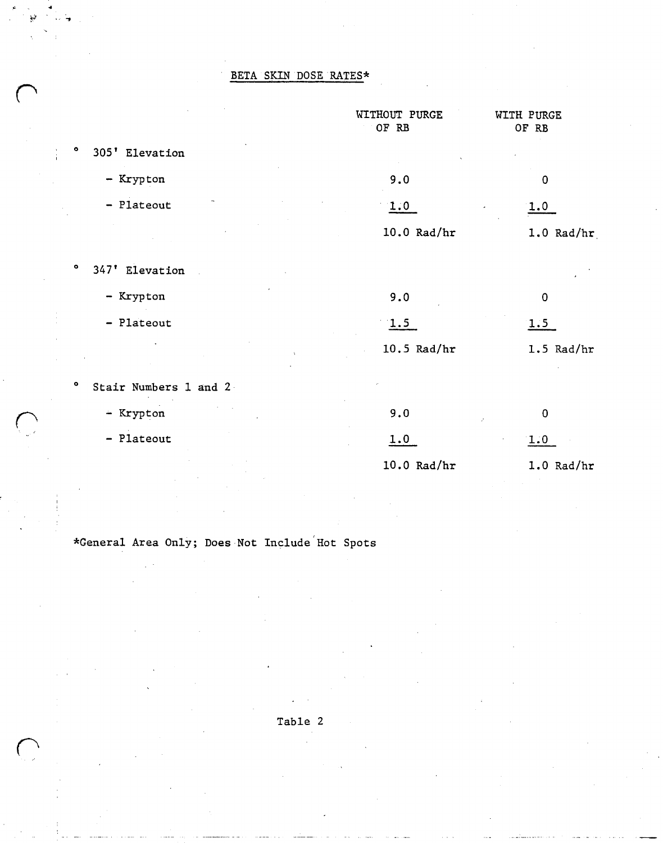## BETA SKIN DOSE RATES\*

|   |                       | WITHOUT PURGE<br>OF RB | WITH PURGE<br>OF RB |
|---|-----------------------|------------------------|---------------------|
| ۰ | 305' Elevation        |                        |                     |
|   | - Krypton             | 9.0                    | 0                   |
|   | - Plateout            | $\overline{1.0}$       | 1.0                 |
|   |                       | $10.0$ Rad/hr          | $1.0$ Rad/hr        |
| ۰ | 347' Elevation        |                        |                     |
|   | - Krypton             | 9.0                    | $\mathbf 0$         |
|   | - Plateout            | 1.5                    | 1.5                 |
|   |                       | $10.5$ Rad/hr          | $1.5$ Rad/hr        |
| ۰ | Stair Numbers 1 and 2 |                        |                     |
|   | - Krypton             | 9.0                    | $\mathbf 0$         |
|   | - Plateout            | 1.0                    | 1.0                 |
|   |                       | $10.0$ Rad/hr          | $1.0$ Rad/hr        |

\*Genera1 Area Only; Does.Not Inc1ude'Hot Spots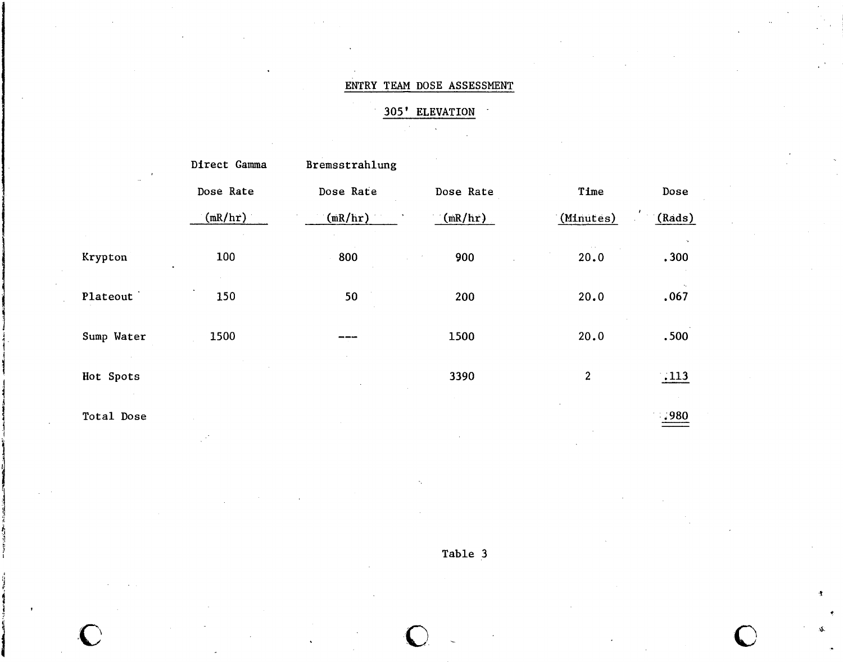## ENTRY TEAM DOSE ASSESSMENT

305' ELEVATION

|            | Direct Gamma | Bremsstrahlung |           |                |              |
|------------|--------------|----------------|-----------|----------------|--------------|
|            | Dose Rate    | Dose Rate      | Dose Rate | Time           | Dose         |
|            | (mR/hr)      | (mR/hr)        | (mR/hr)   | (Minutes)      | (Rads)       |
| Krypton    | 100          | 800            | 900       | 20.0           | .300         |
| Plateout   | 150          | 50             | 200       | 20.0           | .067         |
| Sump Water | 1500         |                | 1500      | 20.0           | .500         |
| Hot Spots  |              |                | 3390      | $\overline{2}$ | $\ddots$ 113 |
| Total Dose |              |                |           |                | .980         |

Table 3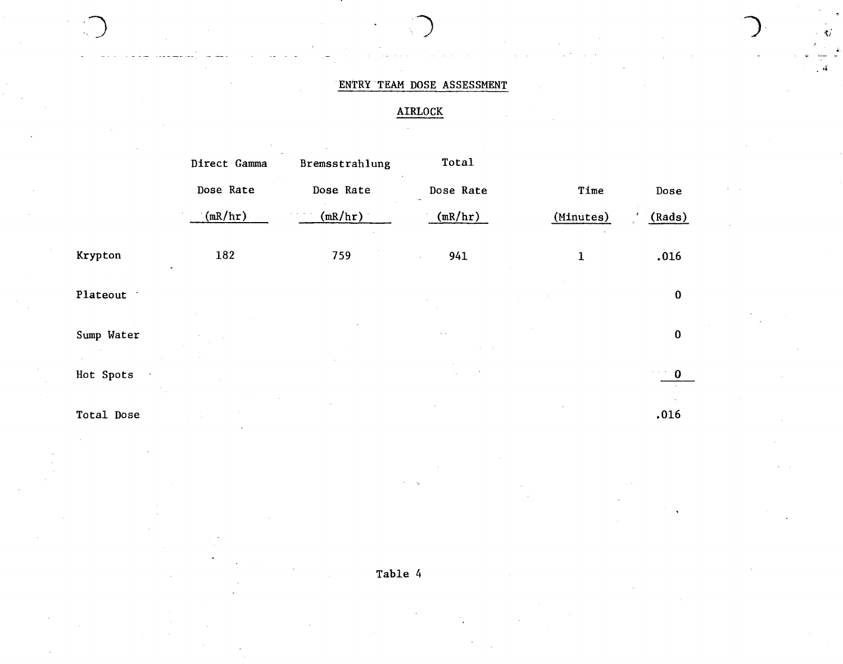AIRLOCK

|            | Direct Gamma | Bremsstrahlung | Total                |           |             |
|------------|--------------|----------------|----------------------|-----------|-------------|
|            | Dose Rate    | Dose Rate      | Dose Rate            | Time      | Dose        |
|            | (mR/hr)      | (mR/hr)        | $(\mathrm{mR/hr})$   | (Minutes) | (Rads)      |
| Krypton    | 182          | 759            | 941                  |           | .016        |
| Plateout   |              |                |                      |           | $\mathbf 0$ |
| Sump Water |              |                | $\ddot{\phantom{a}}$ |           | $\bf{0}$    |
| Hot Spots  |              |                |                      |           | 0           |

Total Dose

 $.016$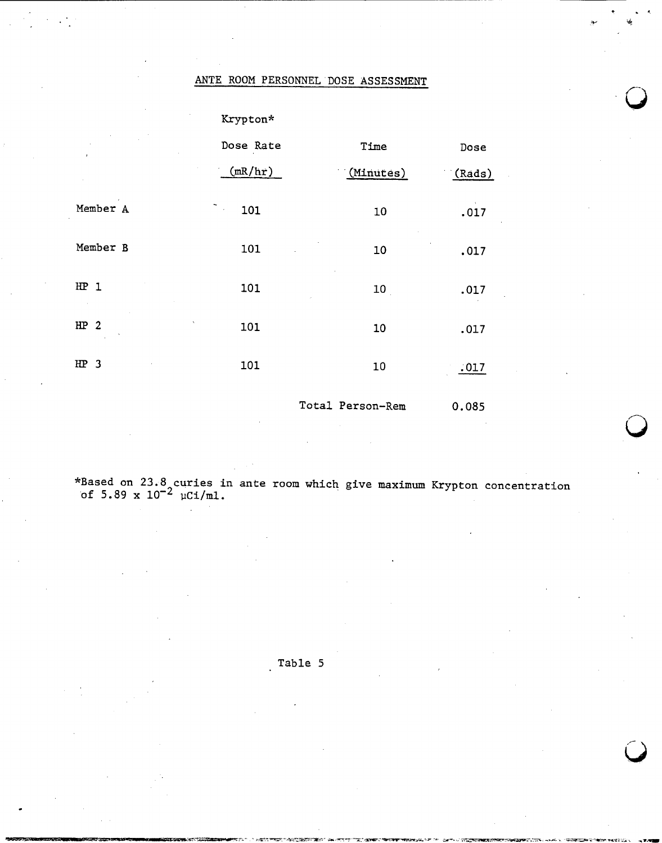## ANTE ROOM PERSONNEL DOSE ASSESSMENT

|                 | Krypton*                  |                  |                        |
|-----------------|---------------------------|------------------|------------------------|
|                 | Dose Rate                 | Time             | Dose                   |
|                 | (mR/hr)                   | (Minutes)        | (Rads)                 |
| Member A        | ÷.,<br>101                | 10               | $\mathbf{v}$ .<br>.017 |
| Member B        | 101                       | 10               | .017                   |
| $HP_1$          | 101                       | 10 <sub>1</sub>  | .017                   |
| HP <sub>2</sub> | $\bar{\mathbf{x}}$<br>101 | 10               | .017                   |
| HP <sub>3</sub> | 101                       | 10               | .017                   |
|                 |                           | Total Person-Rem | 0.085                  |

 $\mathbf{v}$ 

\*Based on 23.8 curies in ante room which give maximum Krypton concentration<br>of 5.89 x 10<sup>-2</sup> µCi/ml.

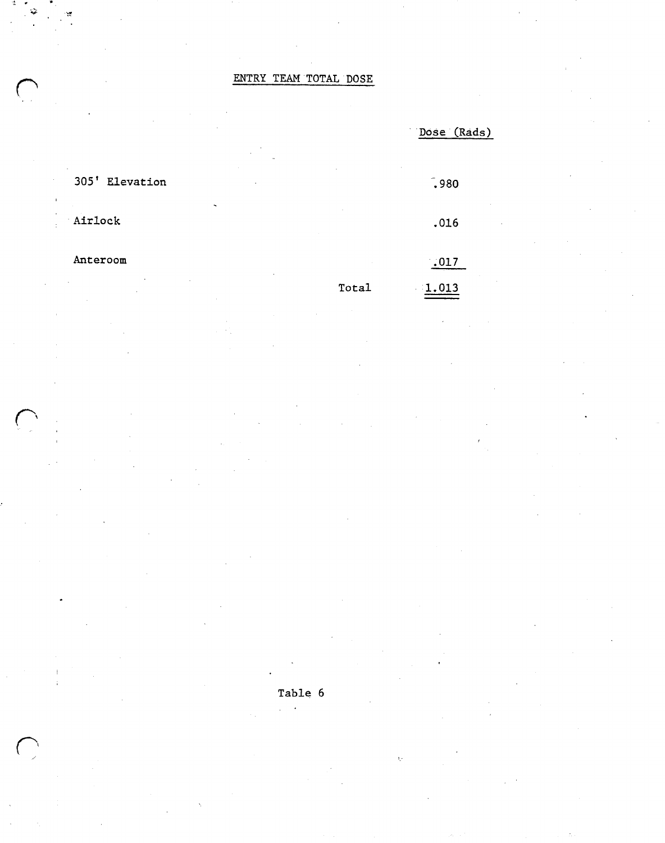## ENTRY TEAM TOTAL DOSE

 $Total$ 

 $1.013$ 

| $\sim$<br>$\mathbf{r}$                                                                    | Dose (Rads) |
|-------------------------------------------------------------------------------------------|-------------|
| $\ddot{\phantom{a}}$<br>$\overline{\phantom{a}}$<br>305 <sup>t</sup> Elevation<br>$\cdot$ | $-980$      |
| $\overline{\phantom{a}}$<br>$\bullet$<br>Airlock                                          | .016        |
| Anteroom<br>$\sim$                                                                        |             |

Table 6

ţ.

 $\mathbb{Z}_2$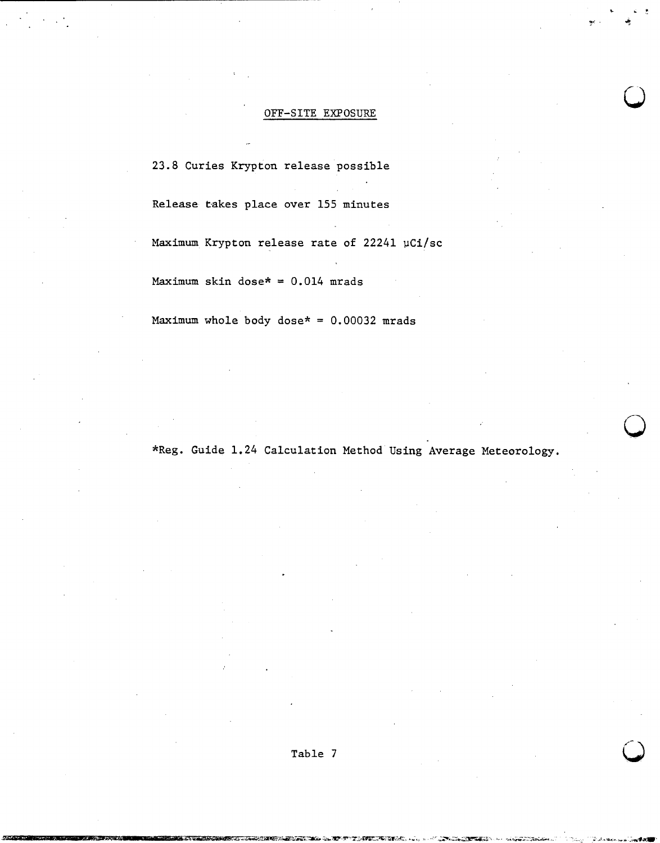### OFF-SITE EXPOSURE

 $\bigcirc$ 

o

 $\bigcirc$ 

23.8 Curies Krypton release possible

Release takes place over 155 minutes

Maximum Krypton release rate of  $22241 \text{ }\mu\text{Ci/sc}$ 

Maximum skin dose\* =  $0.014$  mrads

Maximum whole body dose\* =  $0.00032$  mrads

\*Reg. Guide 1.24 Calculation Method Using Average Meteorology.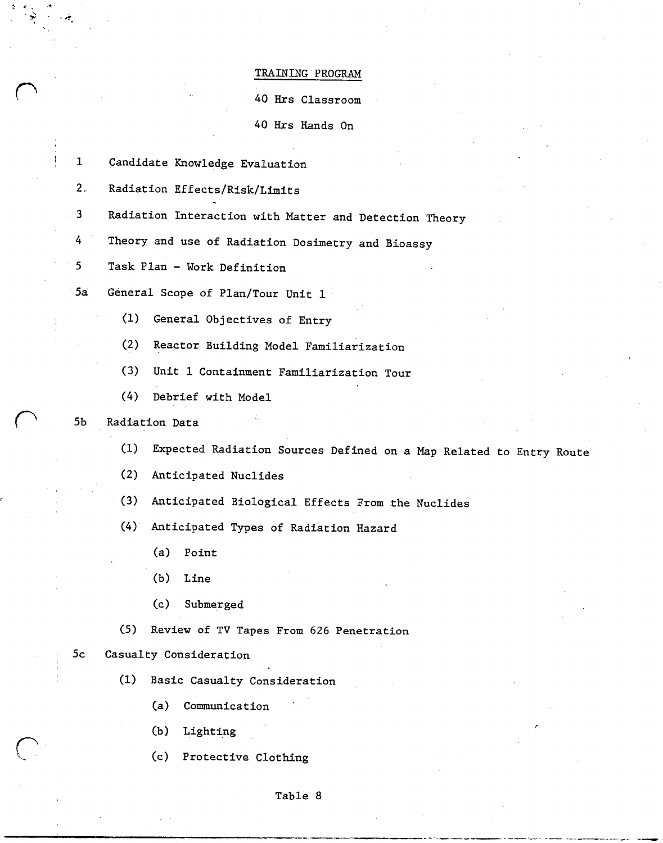### TRAINING PROGRAM

40 Hrs Classroom

- 40 Hrs Hands On
- 1 Candidate Knowledge Evaluation

" . . ~ .. : .~.

- 2. Radiation Effects/Risk/Limits
- 3 Radiation Interaction with Matter and Detection Theory
- 4 Theory and use of Radiation Dosimetry and Bioassy
- 5 Task Plan Work Definition
- 5a General Scope of Plan/Tour Unit 1
	- (1) General Objectives of Entry
	- (2) Reactor Building Model Familiarization
	- (3) Unit 1 Containment Familiarization Tour
	- (4) Debrief with Model

5b Radiation Data

- (1) Expected Radiation Sources Defined on a Map Related to Entry Route
- (2) Anticipated Nuclides
- (3) Anticipated Biological Effects From the Nuclides
- (4)' Anticipated Types of Radiation Hazard
	- (a) Point
	- (b) Line
	- (c) Submerged
- (5) Review of TV Tapes From 626 Penetration

5c Casualty Consideration

- (1) Basic Casualty Consideration
	- (a) Communication
	- (b) Lighting
	- (c) Protective Clothing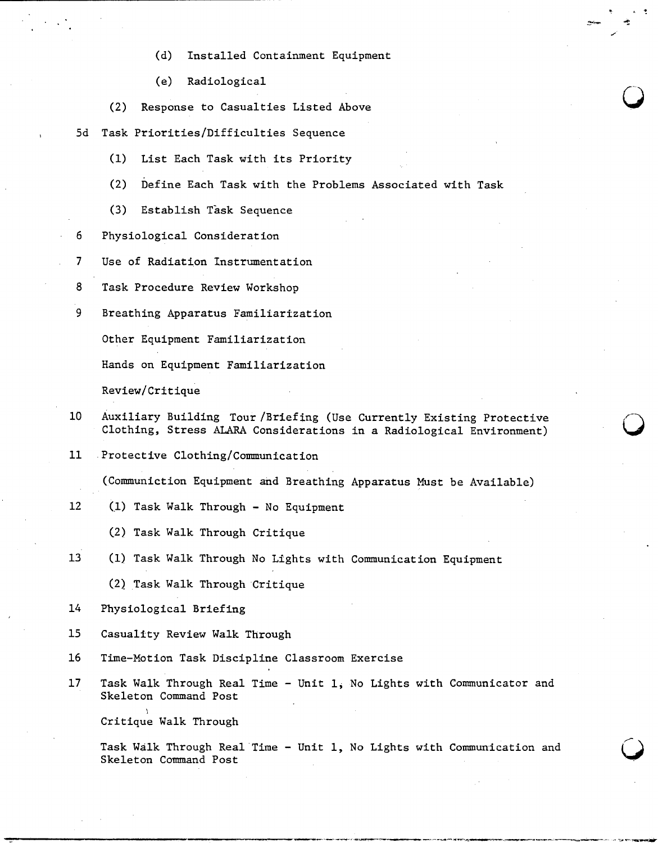- (d) Installed Containment Equipment
- (e) Radiological
- (2) Response to Casualties Listed Above
- 5d Task Priorities/Difficulties Sequence
	- (1) List Each Task with its Priority
	- (2) Define Each Task with the Problems Associated with Task

o

- (3) Establish Task Sequence
- 6 Physiological Consideration
- 7 Use of Radiation Instrumentation
- 8 Task Procedure Review Workshop
- 9 Breathing Apparatus Familiarization

Other Equipment Familiarization

Hands on Equipment Familiarization

Review/Critique

- 10 Auxiliary Building Tour /Briefing (Use Currently Existing Protective Auxiliary Building Tour/Briefing (Use Currently Existing Protective<br>Clothing, Stress ALARA Considerations in a Radiological Environment) **on a constant**
- 11 Protective Clothing/Communication

(Communiction Equipment and Breathing Apparatus Must be Available)

12 (I) Task Walk Through - No Equipment

(2) Task Walk Through Critique

13 (1) Task Walk Through No Lights with Communication Equipment

(2) Task Walk Through Critique

- 14 Physiological Briefing
- 15 Casuality Review Walk Through
- 16 Time-Motion Task Discipline Classroom Exercise
- 17 Task Walk Through Real Time Unit 1; No Lights with Communicator and Skeleton Command Post

Critique Walk Through

Task Walk Through Real Time - Unit 1, No Lights with Communication and Critique Walk Through<br>Task Walk Through Real Time - Unit 1, No Lights with Communication and<br>Skeleton Command Post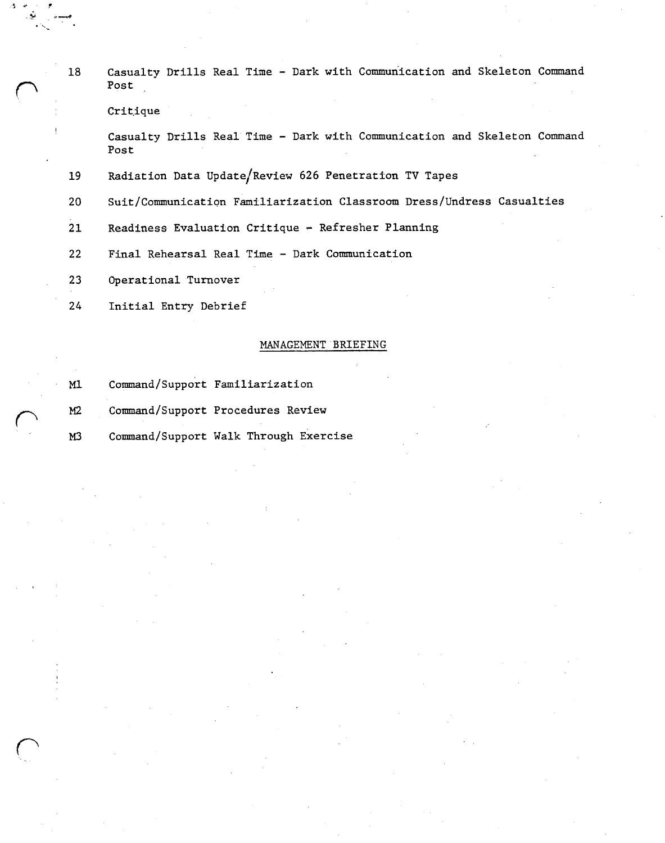18 Casualty Drills Real Time - Dark with Communication and Skeleton Command Post

Crit.ique

Casualty Drills Real Time - Dark with Communication and Skeleton Command Post

19 Radiation Data Update/Review 626 Penetration TV Tapes

20 Suit/Communication Familiarization Classroom Dress/Undress Casualties

21 Readiness Evaluation Critique - Refresher Planning

22 Final Rehearsal Real Time - Dark Communication

23 Operational Turnover

24 Initial Entry Debrief

#### MANAGEMENT BRIEFING

Ml Command/Support Familiarization

M2 Command/Support Procedures Review

M3 Command/Support Walk Through Exercise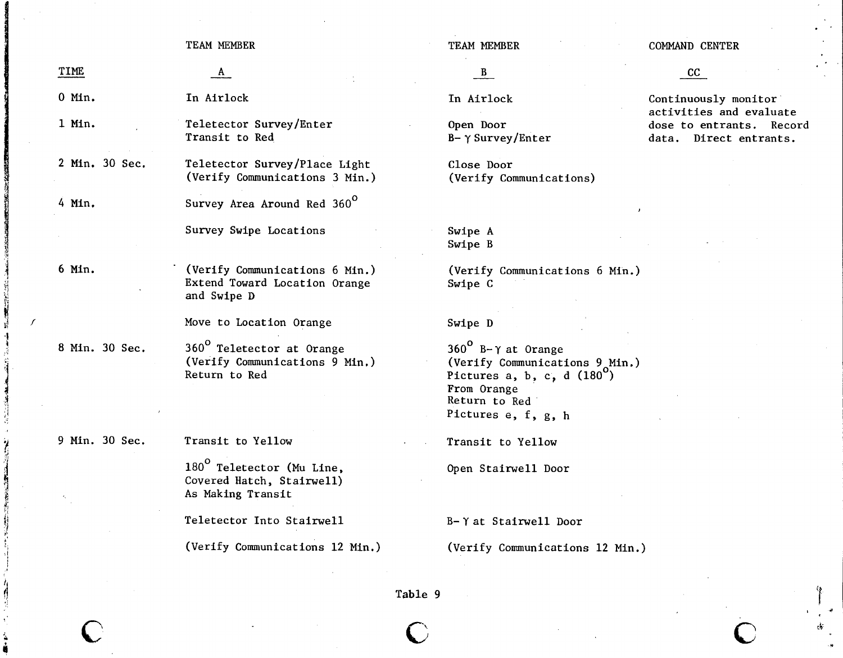TEAM MEMBER

TEAM MEMBER

### COMMAND CENTER

### CC

Continuously monitor activities and evaluate dose to entrants. Record data. Direct entrants.

> (( ,<br>,<br>,

eli

C

o Min.

TIME

1 Min.

2 Min. 30 Sec.

4 Min.

6 Min.

 $H$  $\frac{1}{2}$ ".1  $\frac{1}{2}$ *it* J'  $\frac{q}{k}$  /  $\Gamma_1$ "I % :,j

la de la company ;~ ~J

~

'J ~  $\frac{1}{2}$  $\ddot{\epsilon}$  .  $\mathbb{R}_+$ ii  $\ddot{\phantom{a}}$ , I f'  $_{\rm c}^{\prime}$  $\cdot$  . i

li. 'i

8 Min. 30 Sec.

A

In Airlock

Teletector Survey/Enter Transit to Red

> Teletector Survey/Place Light (Verify Communications 3 Min.)

Survey Area Around Red 360<sup>0</sup>

Survey Swipe Locations

(Verify Communications 6 Min.) Extend Toward Location Orange and Swipe D

Move to Location Orange

360<sup>0</sup> Teletector at Orange (Verify Communications 9 Min.) Return to Red

9 Min. 30 Sec.

c

Transit to Yellow

180<sup>0</sup> Teletector (Mu Line, Covered Hatch, Stairwell) As Making Transit

Teletector Into Stairwell

(Verify Communications 12 Min.)

B

In Airlock

Open Door  $B - \gamma$  Survey/Enter

Close Door (Verify Communications)

Swipe A Swipe B

(Verify Communications 6 Min.) Swipe C

Swipe D

360<sup>0</sup> B-γat Orange (Verify Communications 9 Min.) Pictures a, b, c, d  $(180^{\circ})$ From Orange Return to Red Pictures a, f, g, h

Transit to Yellow

Open Stairwell Door

B- Y at Stairwell Door

(Verify Communications 12 Min.)

### Table 9

c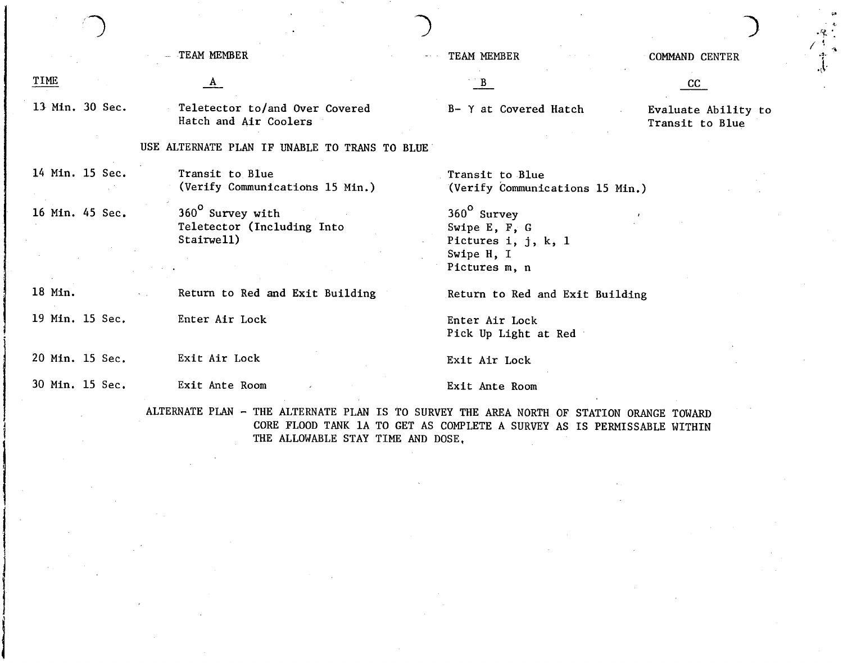|                 | TEAM MEMBER                                                  | TEAM MEMBER                                                                                                                                          | COMMAND CENTER                         |
|-----------------|--------------------------------------------------------------|------------------------------------------------------------------------------------------------------------------------------------------------------|----------------------------------------|
| TIME            | A                                                            | B                                                                                                                                                    | cc                                     |
| 13 Min. 30 Sec. | Teletector to/and Over Covered<br>Hatch and Air Coolers      | B- Y at Covered Hatch                                                                                                                                | Evaluate Ability to<br>Transit to Blue |
|                 | USE ALTERNATE PLAN IF UNABLE TO TRANS TO BLUE                |                                                                                                                                                      |                                        |
| 14 Min. 15 Sec. | Transit to Blue<br>(Verify Communications 15 Min.)           | Transit to Blue<br>(Verify Communications 15 Min.)                                                                                                   |                                        |
| 16 Min. 45 Sec. | 360° Survey with<br>Teletector (Including Into<br>Stairwell) | 360° Survey<br>Swipe E, F, G<br>Pictures i, j, k, 1<br>Swipe H, I<br>Pictures m, n                                                                   |                                        |
| 18 Min.         | Return to Red and Exit Building                              | Return to Red and Exit Building                                                                                                                      |                                        |
| 19 Min. 15 Sec. | Enter Air Lock                                               | Enter Air Lock<br>Pick Up Light at Red                                                                                                               |                                        |
| 20 Min. 15 Sec. | Exit Air Lock                                                | Exit Air Lock                                                                                                                                        |                                        |
| 30 Min. 15 Sec. | Exit Ante Room                                               | Exit Ante Room                                                                                                                                       |                                        |
|                 | ALTERNATE PLAN                                               | - THE ALTERNATE PLAN IS TO SURVEY THE AREA NORTH OF STATION ORANGE TOWARD<br>CORE FLOOD TANK 1A TO GET AS COMPLETE A SURVEY AS IS PERMISSABLE WITHIN |                                        |

•..  $\cdot$  .  $\frac{4}{7}$  ... J.

THE ALLOWABLE STAY TIME AND DOSE,

I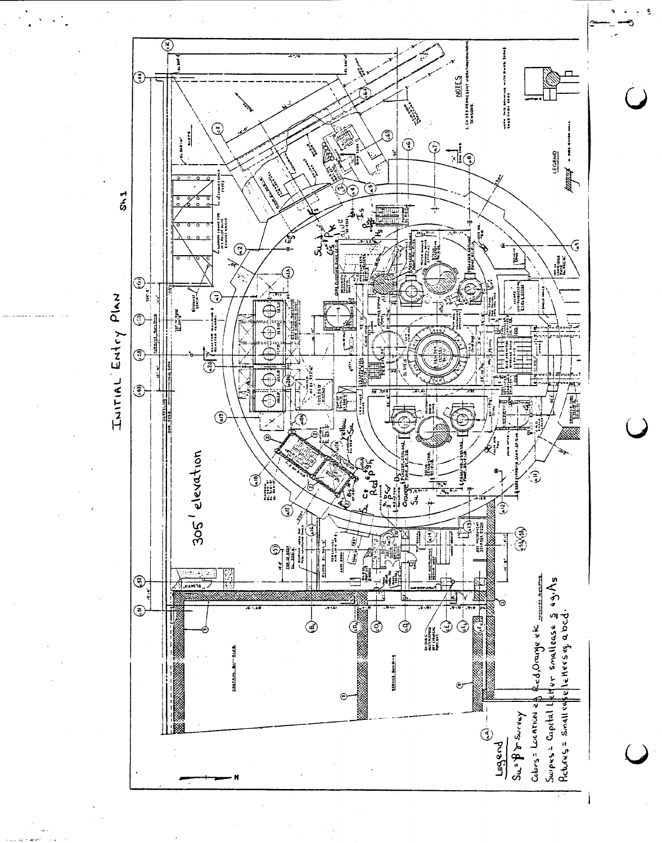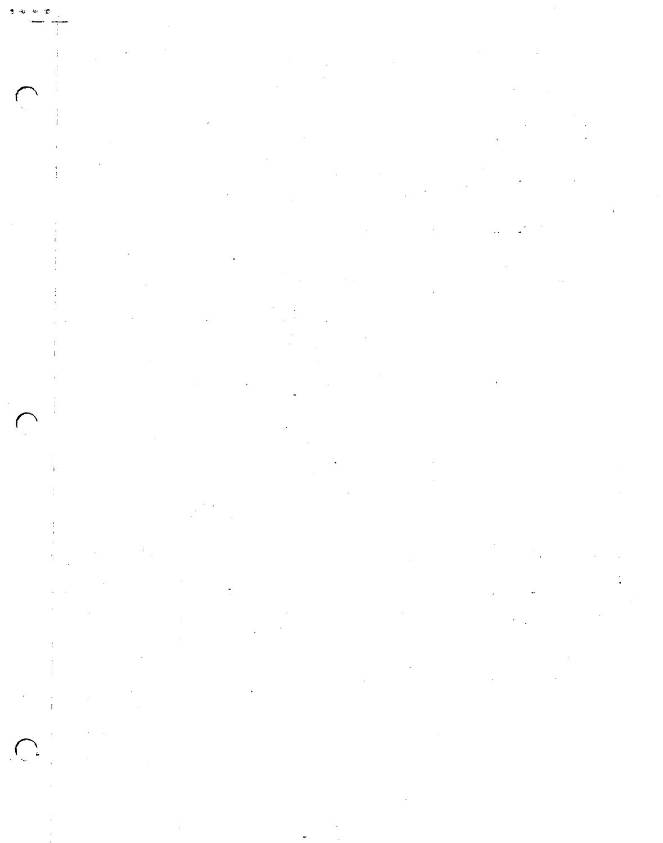$\label{eq:2.1} \mathcal{L}(\mathcal{L}^{\mathcal{L}}_{\mathcal{L}}(\mathcal{L}^{\mathcal{L}}_{\mathcal{L}})) \leq \mathcal{L}(\mathcal{L}^{\mathcal{L}}_{\mathcal{L}}(\mathcal{L}^{\mathcal{L}}_{\mathcal{L}})) \leq \mathcal{L}(\mathcal{L}^{\mathcal{L}}_{\mathcal{L}}(\mathcal{L}^{\mathcal{L}}_{\mathcal{L}}))$  $\mathcal{L}^{\text{max}}_{\text{max}}$ 

 $\label{eq:2.1} \frac{1}{\sqrt{2}}\left(\frac{1}{\sqrt{2}}\right)^{2} \left(\frac{1}{\sqrt{2}}\right)^{2} \left(\frac{1}{\sqrt{2}}\right)^{2} \left(\frac{1}{\sqrt{2}}\right)^{2} \left(\frac{1}{\sqrt{2}}\right)^{2} \left(\frac{1}{\sqrt{2}}\right)^{2} \left(\frac{1}{\sqrt{2}}\right)^{2} \left(\frac{1}{\sqrt{2}}\right)^{2} \left(\frac{1}{\sqrt{2}}\right)^{2} \left(\frac{1}{\sqrt{2}}\right)^{2} \left(\frac{1}{\sqrt{2}}\right)^{2} \left(\$ 

 $\label{eq:2} \frac{1}{2\pi}\left(\frac{1}{2}\frac{1}{\sqrt{2}}\right)^{1/2}$  $\label{eq:2.1} \frac{1}{\sqrt{2}}\left(\frac{1}{\sqrt{2}}\right)^{2} \left(\frac{1}{\sqrt{2}}\right)^{2} \left(\frac{1}{\sqrt{2}}\right)^{2} \left(\frac{1}{\sqrt{2}}\right)^{2} \left(\frac{1}{\sqrt{2}}\right)^{2} \left(\frac{1}{\sqrt{2}}\right)^{2} \left(\frac{1}{\sqrt{2}}\right)^{2} \left(\frac{1}{\sqrt{2}}\right)^{2} \left(\frac{1}{\sqrt{2}}\right)^{2} \left(\frac{1}{\sqrt{2}}\right)^{2} \left(\frac{1}{\sqrt{2}}\right)^{2} \left(\$ 

 $\label{eq:2.1} \frac{1}{\sqrt{2}}\sum_{i=1}^n\frac{1}{\sqrt{2\pi}}\sum_{i=1}^n\frac{1}{\sqrt{2\pi}}\sum_{i=1}^n\frac{1}{\sqrt{2\pi}}\sum_{i=1}^n\frac{1}{\sqrt{2\pi}}\sum_{i=1}^n\frac{1}{\sqrt{2\pi}}\sum_{i=1}^n\frac{1}{\sqrt{2\pi}}\sum_{i=1}^n\frac{1}{\sqrt{2\pi}}\sum_{i=1}^n\frac{1}{\sqrt{2\pi}}\sum_{i=1}^n\frac{1}{\sqrt{2\pi}}\sum_{i=1}^n\frac{$ 

 $\label{eq:2.1} \begin{split} \mathcal{L}_{\text{max}}(\mathbf{r},\mathbf{r}) = \mathcal{L}_{\text{max}}(\mathbf{r},\mathbf{r}) = \mathcal{L}_{\text{max}}(\mathbf{r},\mathbf{r}) \\ \mathcal{L}_{\text{max}}(\mathbf{r},\mathbf{r}) = \mathcal{L}_{\text{max}}(\mathbf{r},\mathbf{r}) = \mathcal{L}_{\text{max}}(\mathbf{r},\mathbf{r}) \end{split}$ 

 $\begin{array}{c} 1 \\ 1 \\ 2 \\ 3 \\ 4 \\ 6 \\ \end{array}$  $\label{eq:2.1} \mathcal{L}(\mathcal{A}) = \mathcal{L}(\mathcal{A}) \mathcal{L}(\mathcal{A}) = \mathcal{L}(\mathcal{A}) \mathcal{L}(\mathcal{A}) = \mathcal{L}(\mathcal{A}) \mathcal{L}(\mathcal{A})$  $\frac{1}{2} \sum_{i=1}^n \frac{1}{2} \sum_{j=1}^n \frac{1}{2} \sum_{j=1}^n \frac{1}{2} \sum_{j=1}^n \frac{1}{2} \sum_{j=1}^n \frac{1}{2} \sum_{j=1}^n \frac{1}{2} \sum_{j=1}^n \frac{1}{2} \sum_{j=1}^n \frac{1}{2} \sum_{j=1}^n \frac{1}{2} \sum_{j=1}^n \frac{1}{2} \sum_{j=1}^n \frac{1}{2} \sum_{j=1}^n \frac{1}{2} \sum_{j=1}^n \frac{1}{2} \sum_{j=$  $\frac{1}{\sqrt{2}}$ 

 $\label{eq:2.1} \frac{1}{2} \sum_{i=1}^n \frac{1}{2} \sum_{j=1}^n \frac{1}{2} \sum_{j=1}^n \frac{1}{2} \sum_{j=1}^n \frac{1}{2} \sum_{j=1}^n \frac{1}{2} \sum_{j=1}^n \frac{1}{2} \sum_{j=1}^n \frac{1}{2} \sum_{j=1}^n \frac{1}{2} \sum_{j=1}^n \frac{1}{2} \sum_{j=1}^n \frac{1}{2} \sum_{j=1}^n \frac{1}{2} \sum_{j=1}^n \frac{1}{2} \sum_{j=1}^n \frac{$  $\label{eq:2.1} \frac{d\mathbf{r}}{d\mathbf{r}} = \frac{1}{\sqrt{2\pi}}\left(\frac{d\mathbf{r}}{d\mathbf{r}}\right)^{-1} \mathbf{r}$ 

 $\mathcal{L}^{\text{max}}_{\text{max}}$  and  $\mathcal{L}^{\text{max}}_{\text{max}}$